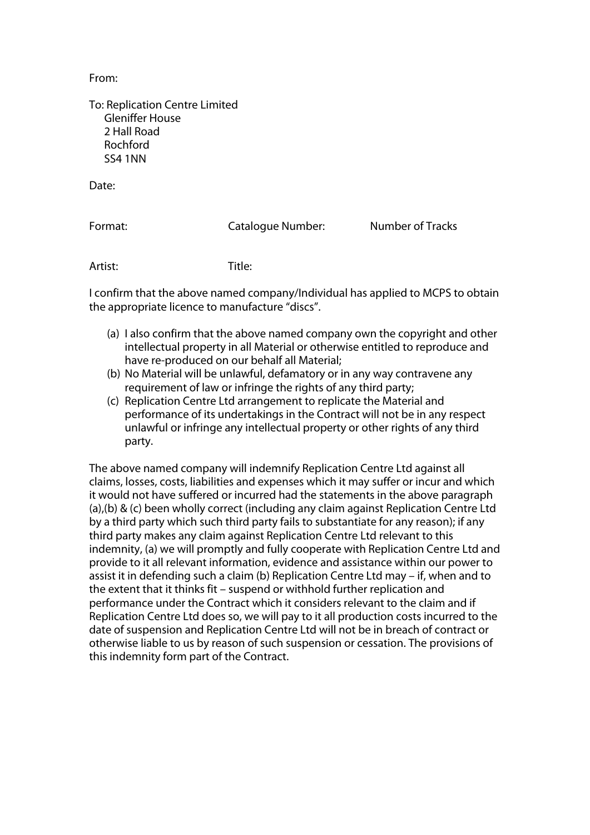From:

To: Replication Centre Limited Gleniffer House 2 Hall Road Rochford SS4 1NN

Date:

Format: Catalogue Number: Number of Tracks

Artist: Title:

I confirm that the above named company/Individual has applied to MCPS to obtain the appropriate licence to manufacture "discs".

- (a) I also confirm that the above named company own the copyright and other intellectual property in all Material or otherwise entitled to reproduce and have re-produced on our behalf all Material;
- (b) No Material will be unlawful, defamatory or in any way contravene any requirement of law or infringe the rights of any third party;
- (c) Replication Centre Ltd arrangement to replicate the Material and performance of its undertakings in the Contract will not be in any respect unlawful or infringe any intellectual property or other rights of any third party.

The above named company will indemnify Replication Centre Ltd against all claims, losses, costs, liabilities and expenses which it may suffer or incur and which it would not have suffered or incurred had the statements in the above paragraph (a),(b) & (c) been wholly correct (including any claim against Replication Centre Ltd by a third party which such third party fails to substantiate for any reason); if any third party makes any claim against Replication Centre Ltd relevant to this indemnity, (a) we will promptly and fully cooperate with Replication Centre Ltd and provide to it all relevant information, evidence and assistance within our power to assist it in defending such a claim (b) Replication Centre Ltd may – if, when and to the extent that it thinks fit – suspend or withhold further replication and performance under the Contract which it considers relevant to the claim and if Replication Centre Ltd does so, we will pay to it all production costs incurred to the date of suspension and Replication Centre Ltd will not be in breach of contract or otherwise liable to us by reason of such suspension or cessation. The provisions of this indemnity form part of the Contract.